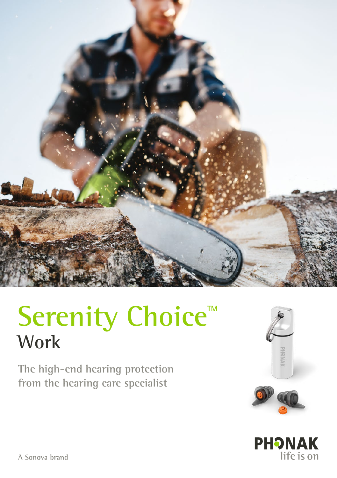

# Serenity Choice<sup>™</sup> **Work**

**The high-end hearing protection from the hearing care specialist**